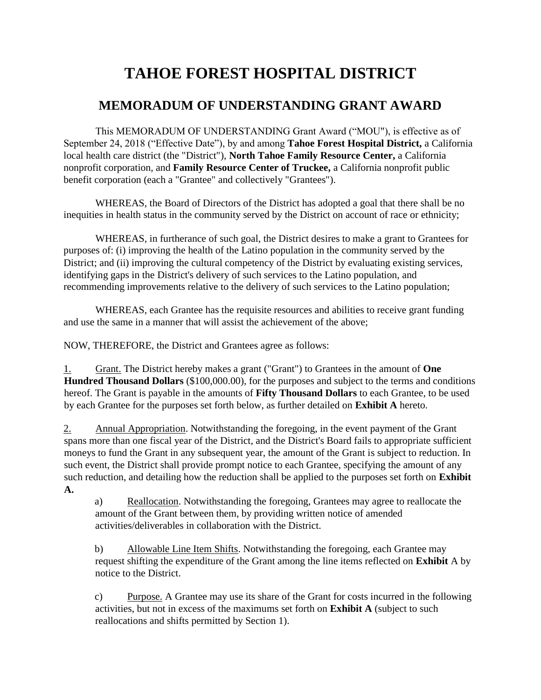# **TAHOE FOREST HOSPITAL DISTRICT**

# **MEMORADUM OF UNDERSTANDING GRANT AWARD**

This MEMORADUM OF UNDERSTANDING Grant Award ("MOU"), is effective as of September 24, 2018 ("Effective Date"), by and among **Tahoe Forest Hospital District,** a California local health care district (the "District"), **North Tahoe Family Resource Center,** a California nonprofit corporation, and **Family Resource Center of Truckee,** a California nonprofit public benefit corporation (each a "Grantee" and collectively "Grantees").

WHEREAS, the Board of Directors of the District has adopted a goal that there shall be no inequities in health status in the community served by the District on account of race or ethnicity;

WHEREAS, in furtherance of such goal, the District desires to make a grant to Grantees for purposes of: (i) improving the health of the Latino population in the community served by the District; and (ii) improving the cultural competency of the District by evaluating existing services, identifying gaps in the District's delivery of such services to the Latino population, and recommending improvements relative to the delivery of such services to the Latino population;

WHEREAS, each Grantee has the requisite resources and abilities to receive grant funding and use the same in a manner that will assist the achievement of the above;

NOW, THEREFORE, the District and Grantees agree as follows:

1. Grant. The District hereby makes a grant ("Grant") to Grantees in the amount of **One Hundred Thousand Dollars** (\$100,000.00), for the purposes and subject to the terms and conditions hereof. The Grant is payable in the amounts of **Fifty Thousand Dollars** to each Grantee, to be used by each Grantee for the purposes set forth below, as further detailed on **Exhibit A** hereto.

2. Annual Appropriation. Notwithstanding the foregoing, in the event payment of the Grant spans more than one fiscal year of the District, and the District's Board fails to appropriate sufficient moneys to fund the Grant in any subsequent year, the amount of the Grant is subject to reduction. In such event, the District shall provide prompt notice to each Grantee, specifying the amount of any such reduction, and detailing how the reduction shall be applied to the purposes set forth on **Exhibit A.**

a) Reallocation. Notwithstanding the foregoing, Grantees may agree to reallocate the amount of the Grant between them, by providing written notice of amended activities/deliverables in collaboration with the District.

b) Allowable Line Item Shifts. Notwithstanding the foregoing, each Grantee may request shifting the expenditure of the Grant among the line items reflected on **Exhibit** A by notice to the District.

c) Purpose. A Grantee may use its share of the Grant for costs incurred in the following activities, but not in excess of the maximums set forth on **Exhibit A** (subject to such reallocations and shifts permitted by Section 1).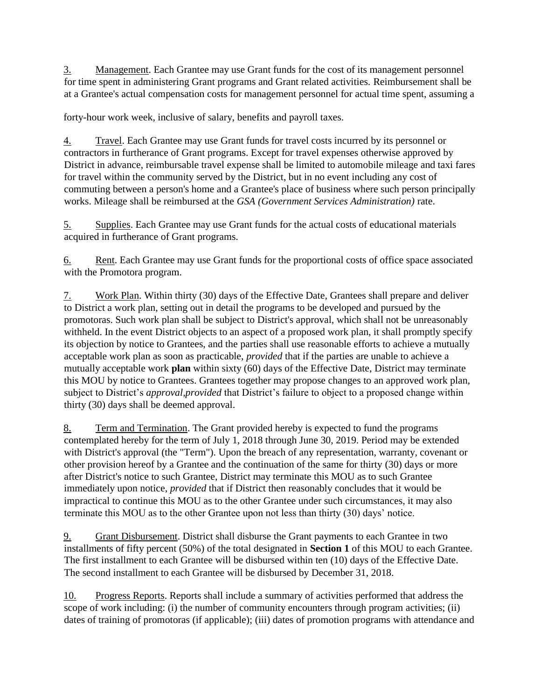3. Management. Each Grantee may use Grant funds for the cost of its management personnel for time spent in administering Grant programs and Grant related activities. Reimbursement shall be at a Grantee's actual compensation costs for management personnel for actual time spent, assuming a

forty-hour work week, inclusive of salary, benefits and payroll taxes.

4. Travel. Each Grantee may use Grant funds for travel costs incurred by its personnel or contractors in furtherance of Grant programs. Except for travel expenses otherwise approved by District in advance, reimbursable travel expense shall be limited to automobile mileage and taxi fares for travel within the community served by the District, but in no event including any cost of commuting between a person's home and a Grantee's place of business where such person principally works. Mileage shall be reimbursed at the *GSA (Government Services Administration)* rate.

5. Supplies. Each Grantee may use Grant funds for the actual costs of educational materials acquired in furtherance of Grant programs.

6. Rent. Each Grantee may use Grant funds for the proportional costs of office space associated with the Promotora program.

7. Work Plan. Within thirty (30) days of the Effective Date, Grantees shall prepare and deliver to District a work plan, setting out in detail the programs to be developed and pursued by the promotoras. Such work plan shall be subject to District's approval, which shall not be unreasonably withheld. In the event District objects to an aspect of a proposed work plan, it shall promptly specify its objection by notice to Grantees, and the parties shall use reasonable efforts to achieve a mutually acceptable work plan as soon as practicable, *provided* that if the parties are unable to achieve a mutually acceptable work **plan** within sixty (60) days of the Effective Date, District may terminate this MOU by notice to Grantees. Grantees together may propose changes to an approved work plan, subject to District's *approval,provided* that District's failure to object to a proposed change within thirty (30) days shall be deemed approval.

8. Term and Termination. The Grant provided hereby is expected to fund the programs contemplated hereby for the term of July 1, 2018 through June 30, 2019. Period may be extended with District's approval (the "Term"). Upon the breach of any representation, warranty, covenant or other provision hereof by a Grantee and the continuation of the same for thirty (30) days or more after District's notice to such Grantee, District may terminate this MOU as to such Grantee immediately upon notice, *provided* that if District then reasonably concludes that it would be impractical to continue this MOU as to the other Grantee under such circumstances, it may also terminate this MOU as to the other Grantee upon not less than thirty (30) days' notice.

9. Grant Disbursement. District shall disburse the Grant payments to each Grantee in two installments of fifty percent (50%) of the total designated in **Section 1** of this MOU to each Grantee. The first installment to each Grantee will be disbursed within ten (10) days of the Effective Date. The second installment to each Grantee will be disbursed by December 31, 2018.

10. Progress Reports. Reports shall include a summary of activities performed that address the scope of work including: (i) the number of community encounters through program activities; (ii) dates of training of promotoras (if applicable); (iii) dates of promotion programs with attendance and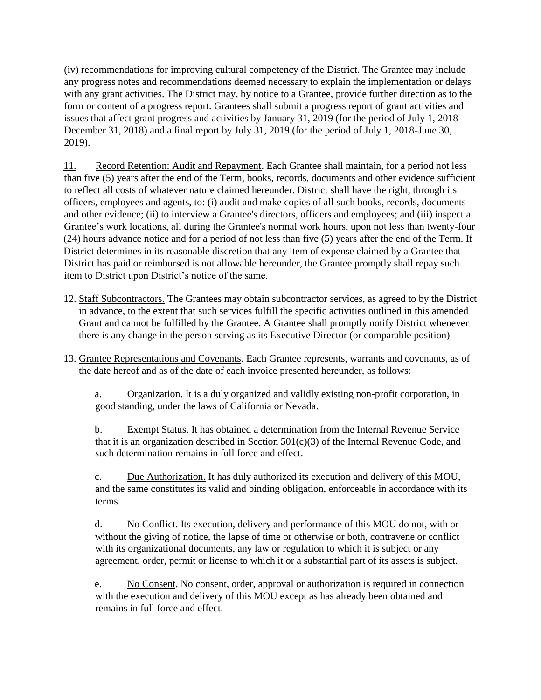(iv) recommendations for improving cultural competency of the District. The Grantee may include any progress notes and recommendations deemed necessary to explain the implementation or delays with any grant activities. The District may, by notice to a Grantee, provide further direction as to the form or content of a progress report. Grantees shall submit a progress report of grant activities and issues that affect grant progress and activities by January 31, 2019 (for the period of July 1, 2018- December 31, 2018) and a final report by July 31, 2019 (for the period of July 1, 2018-June 30, 2019).

11. Record Retention: Audit and Repayment. Each Grantee shall maintain, for a period not less than five (5) years after the end of the Term, books, records, documents and other evidence sufficient to reflect all costs of whatever nature claimed hereunder. District shall have the right, through its officers, employees and agents, to: (i) audit and make copies of all such books, records, documents and other evidence; (ii) to interview a Grantee's directors, officers and employees; and (iii) inspect a Grantee's work locations, all during the Grantee's normal work hours, upon not less than twenty-four (24) hours advance notice and for a period of not less than five (5) years after the end of the Term. If District determines in its reasonable discretion that any item of expense claimed by a Grantee that District has paid or reimbursed is not allowable hereunder, the Grantee promptly shall repay such item to District upon District's notice of the same.

- 12. Staff Subcontractors. The Grantees may obtain subcontractor services, as agreed to by the District in advance, to the extent that such services fulfill the specific activities outlined in this amended Grant and cannot be fulfilled by the Grantee. A Grantee shall promptly notify District whenever there is any change in the person serving as its Executive Director (or comparable position)
- 13. Grantee Representations and Covenants. Each Grantee represents, warrants and covenants, as of the date hereof and as of the date of each invoice presented hereunder, as follows:

a. Organization. It is a duly organized and validly existing non-profit corporation, in good standing, under the laws of California or Nevada.

b. Exempt Status. It has obtained a determination from the Internal Revenue Service that it is an organization described in Section  $501(c)(3)$  of the Internal Revenue Code, and such determination remains in full force and effect.

c. Due Authorization. It has duly authorized its execution and delivery of this MOU, and the same constitutes its valid and binding obligation, enforceable in accordance with its terms.

d. No Conflict. Its execution, delivery and performance of this MOU do not, with or without the giving of notice, the lapse of time or otherwise or both, contravene or conflict with its organizational documents, any law or regulation to which it is subject or any agreement, order, permit or license to which it or a substantial part of its assets is subject.

e. No Consent. No consent, order, approval or authorization is required in connection with the execution and delivery of this MOU except as has already been obtained and remains in full force and effect.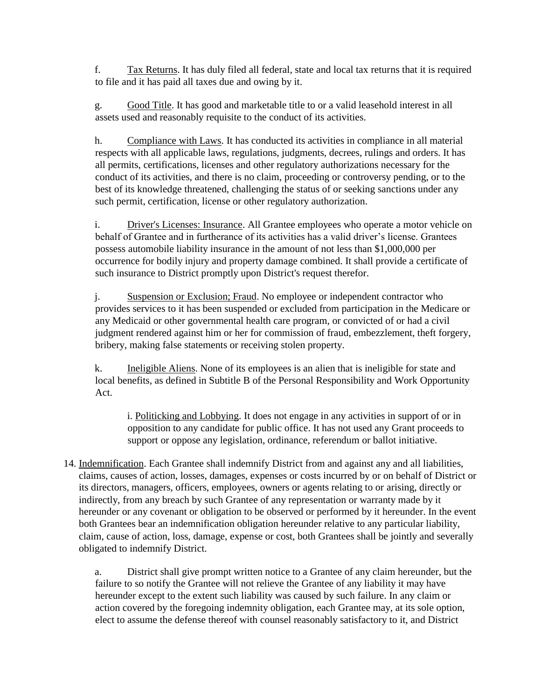f. Tax Returns. It has duly filed all federal, state and local tax returns that it is required to file and it has paid all taxes due and owing by it.

g. Good Title. It has good and marketable title to or a valid leasehold interest in all assets used and reasonably requisite to the conduct of its activities.

h. Compliance with Laws. It has conducted its activities in compliance in all material respects with all applicable laws, regulations, judgments, decrees, rulings and orders. It has all permits, certifications, licenses and other regulatory authorizations necessary for the conduct of its activities, and there is no claim, proceeding or controversy pending, or to the best of its knowledge threatened, challenging the status of or seeking sanctions under any such permit, certification, license or other regulatory authorization.

i. Driver's Licenses: Insurance. All Grantee employees who operate a motor vehicle on behalf of Grantee and in furtherance of its activities has a valid driver's license. Grantees possess automobile liability insurance in the amount of not less than \$1,000,000 per occurrence for bodily injury and property damage combined. It shall provide a certificate of such insurance to District promptly upon District's request therefor.

j. Suspension or Exclusion; Fraud. No employee or independent contractor who provides services to it has been suspended or excluded from participation in the Medicare or any Medicaid or other governmental health care program, or convicted of or had a civil judgment rendered against him or her for commission of fraud, embezzlement, theft forgery, bribery, making false statements or receiving stolen property.

k. Ineligible Aliens. None of its employees is an alien that is ineligible for state and local benefits, as defined in Subtitle B of the Personal Responsibility and Work Opportunity Act.

i. Politicking and Lobbying. It does not engage in any activities in support of or in opposition to any candidate for public office. It has not used any Grant proceeds to support or oppose any legislation, ordinance, referendum or ballot initiative.

14. Indemnification. Each Grantee shall indemnify District from and against any and all liabilities, claims, causes of action, losses, damages, expenses or costs incurred by or on behalf of District or its directors, managers, officers, employees, owners or agents relating to or arising, directly or indirectly, from any breach by such Grantee of any representation or warranty made by it hereunder or any covenant or obligation to be observed or performed by it hereunder. In the event both Grantees bear an indemnification obligation hereunder relative to any particular liability, claim, cause of action, loss, damage, expense or cost, both Grantees shall be jointly and severally obligated to indemnify District.

a. District shall give prompt written notice to a Grantee of any claim hereunder, but the failure to so notify the Grantee will not relieve the Grantee of any liability it may have hereunder except to the extent such liability was caused by such failure. In any claim or action covered by the foregoing indemnity obligation, each Grantee may, at its sole option, elect to assume the defense thereof with counsel reasonably satisfactory to it, and District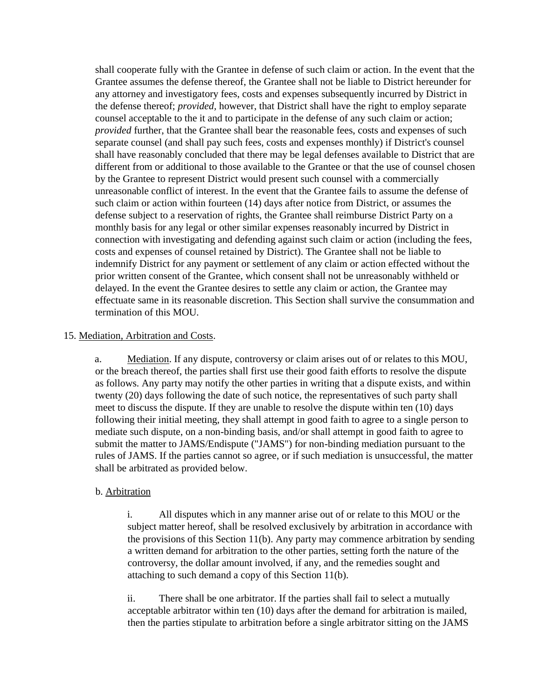shall cooperate fully with the Grantee in defense of such claim or action. In the event that the Grantee assumes the defense thereof, the Grantee shall not be liable to District hereunder for any attorney and investigatory fees, costs and expenses subsequently incurred by District in the defense thereof; *provided,* however, that District shall have the right to employ separate counsel acceptable to the it and to participate in the defense of any such claim or action; *provided* further, that the Grantee shall bear the reasonable fees, costs and expenses of such separate counsel (and shall pay such fees, costs and expenses monthly) if District's counsel shall have reasonably concluded that there may be legal defenses available to District that are different from or additional to those available to the Grantee or that the use of counsel chosen by the Grantee to represent District would present such counsel with a commercially unreasonable conflict of interest. In the event that the Grantee fails to assume the defense of such claim or action within fourteen (14) days after notice from District, or assumes the defense subject to a reservation of rights, the Grantee shall reimburse District Party on a monthly basis for any legal or other similar expenses reasonably incurred by District in connection with investigating and defending against such claim or action (including the fees, costs and expenses of counsel retained by District). The Grantee shall not be liable to indemnify District for any payment or settlement of any claim or action effected without the prior written consent of the Grantee, which consent shall not be unreasonably withheld or delayed. In the event the Grantee desires to settle any claim or action, the Grantee may effectuate same in its reasonable discretion. This Section shall survive the consummation and termination of this MOU.

#### 15. Mediation, Arbitration and Costs.

a. Mediation. If any dispute, controversy or claim arises out of or relates to this MOU, or the breach thereof, the parties shall first use their good faith efforts to resolve the dispute as follows. Any party may notify the other parties in writing that a dispute exists, and within twenty (20) days following the date of such notice, the representatives of such party shall meet to discuss the dispute. If they are unable to resolve the dispute within ten (10) days following their initial meeting, they shall attempt in good faith to agree to a single person to mediate such dispute, on a non-binding basis, and/or shall attempt in good faith to agree to submit the matter to JAMS/Endispute ("JAMS") for non-binding mediation pursuant to the rules of JAMS. If the parties cannot so agree, or if such mediation is unsuccessful, the matter shall be arbitrated as provided below.

#### b. Arbitration

i. All disputes which in any manner arise out of or relate to this MOU or the subject matter hereof, shall be resolved exclusively by arbitration in accordance with the provisions of this Section 11(b). Any party may commence arbitration by sending a written demand for arbitration to the other parties, setting forth the nature of the controversy, the dollar amount involved, if any, and the remedies sought and attaching to such demand a copy of this Section 11(b).

ii. There shall be one arbitrator. If the parties shall fail to select a mutually acceptable arbitrator within ten (10) days after the demand for arbitration is mailed, then the parties stipulate to arbitration before a single arbitrator sitting on the JAMS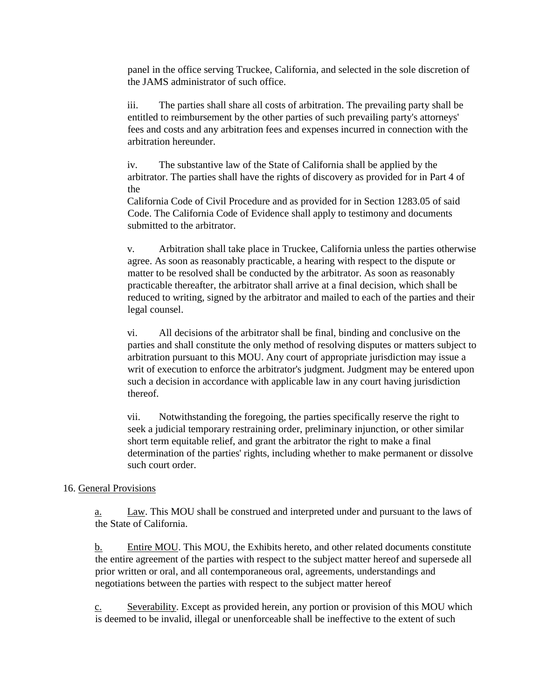panel in the office serving Truckee, California, and selected in the sole discretion of the JAMS administrator of such office.

iii. The parties shall share all costs of arbitration. The prevailing party shall be entitled to reimbursement by the other parties of such prevailing party's attorneys' fees and costs and any arbitration fees and expenses incurred in connection with the arbitration hereunder.

iv. The substantive law of the State of California shall be applied by the arbitrator. The parties shall have the rights of discovery as provided for in Part 4 of the

California Code of Civil Procedure and as provided for in Section 1283.05 of said Code. The California Code of Evidence shall apply to testimony and documents submitted to the arbitrator.

v. Arbitration shall take place in Truckee, California unless the parties otherwise agree. As soon as reasonably practicable, a hearing with respect to the dispute or matter to be resolved shall be conducted by the arbitrator. As soon as reasonably practicable thereafter, the arbitrator shall arrive at a final decision, which shall be reduced to writing, signed by the arbitrator and mailed to each of the parties and their legal counsel.

vi. All decisions of the arbitrator shall be final, binding and conclusive on the parties and shall constitute the only method of resolving disputes or matters subject to arbitration pursuant to this MOU. Any court of appropriate jurisdiction may issue a writ of execution to enforce the arbitrator's judgment. Judgment may be entered upon such a decision in accordance with applicable law in any court having jurisdiction thereof.

vii. Notwithstanding the foregoing, the parties specifically reserve the right to seek a judicial temporary restraining order, preliminary injunction, or other similar short term equitable relief, and grant the arbitrator the right to make a final determination of the parties' rights, including whether to make permanent or dissolve such court order.

### 16. General Provisions

a. Law. This MOU shall be construed and interpreted under and pursuant to the laws of the State of California.

b. Entire MOU. This MOU, the Exhibits hereto, and other related documents constitute the entire agreement of the parties with respect to the subject matter hereof and supersede all prior written or oral, and all contemporaneous oral, agreements, understandings and negotiations between the parties with respect to the subject matter hereof

c. Severability. Except as provided herein, any portion or provision of this MOU which is deemed to be invalid, illegal or unenforceable shall be ineffective to the extent of such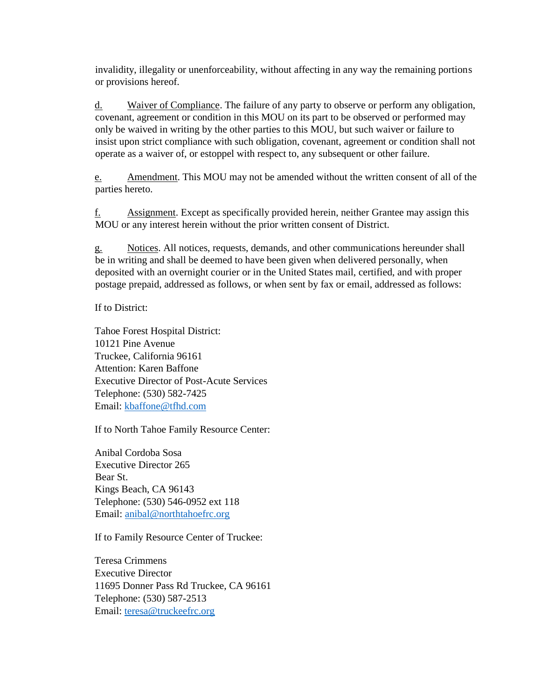invalidity, illegality or unenforceability, without affecting in any way the remaining portions or provisions hereof.

d. Waiver of Compliance. The failure of any party to observe or perform any obligation, covenant, agreement or condition in this MOU on its part to be observed or performed may only be waived in writing by the other parties to this MOU, but such waiver or failure to insist upon strict compliance with such obligation, covenant, agreement or condition shall not operate as a waiver of, or estoppel with respect to, any subsequent or other failure.

e. Amendment. This MOU may not be amended without the written consent of all of the parties hereto.

f. Assignment. Except as specifically provided herein, neither Grantee may assign this MOU or any interest herein without the prior written consent of District.

g. Notices. All notices, requests, demands, and other communications hereunder shall be in writing and shall be deemed to have been given when delivered personally, when deposited with an overnight courier or in the United States mail, certified, and with proper postage prepaid, addressed as follows, or when sent by fax or email, addressed as follows:

If to District:

Tahoe Forest Hospital District: 10121 Pine Avenue Truckee, California 96161 Attention: Karen Baffone Executive Director of Post-Acute Services Telephone: (530) 582-7425 Email: kbaffone@tfhd.com

If to North Tahoe Family Resource Center:

Anibal Cordoba Sosa Executive Director 265 Bear St. Kings Beach, CA 96143 Telephone: (530) 546-0952 ext 118 Email: anibal@northtahoefrc.org

If to Family Resource Center of Truckee:

Teresa Crimmens Executive Director 11695 Donner Pass Rd Truckee, CA 96161 Telephone: (530) 587-2513 Email: teresa@truckeefrc.org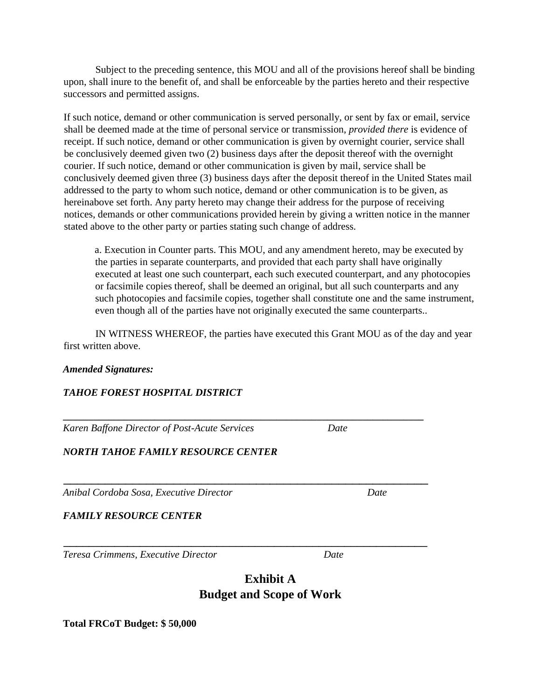Subject to the preceding sentence, this MOU and all of the provisions hereof shall be binding upon, shall inure to the benefit of, and shall be enforceable by the parties hereto and their respective successors and permitted assigns.

If such notice, demand or other communication is served personally, or sent by fax or email, service shall be deemed made at the time of personal service or transmission, *provided there* is evidence of receipt. If such notice, demand or other communication is given by overnight courier, service shall be conclusively deemed given two (2) business days after the deposit thereof with the overnight courier. If such notice, demand or other communication is given by mail, service shall be conclusively deemed given three (3) business days after the deposit thereof in the United States mail addressed to the party to whom such notice, demand or other communication is to be given, as hereinabove set forth. Any party hereto may change their address for the purpose of receiving notices, demands or other communications provided herein by giving a written notice in the manner stated above to the other party or parties stating such change of address.

a. Execution in Counter parts. This MOU, and any amendment hereto, may be executed by the parties in separate counterparts, and provided that each party shall have originally executed at least one such counterpart, each such executed counterpart, and any photocopies or facsimile copies thereof, shall be deemed an original, but all such counterparts and any such photocopies and facsimile copies, together shall constitute one and the same instrument, even though all of the parties have not originally executed the same counterparts..

IN WITNESS WHEREOF, the parties have executed this Grant MOU as of the day and year first written above.

**\_\_\_\_\_\_\_\_\_\_\_\_\_\_\_\_\_\_\_\_\_\_\_\_\_\_\_\_\_\_\_\_\_\_\_\_\_\_\_\_\_\_\_\_\_\_\_\_\_\_\_\_\_\_\_\_\_\_\_\_\_\_\_\_\_\_\_\_\_\_\_**

#### *Amended Signatures:*

### *TAHOE FOREST HOSPITAL DISTRICT*

*Karen Baffone Director of Post-Acute Services Date*

*NORTH TAHOE FAMILY RESOURCE CENTER*

*Anibal Cordoba Sosa, Executive Director Date*

*FAMILY RESOURCE CENTER*

*Teresa Crimmens, Executive Director Date*

## **Exhibit A Budget and Scope of Work**

**Total FRCoT Budget: \$ 50,000** 

\_\_\_\_\_\_\_\_\_\_\_\_\_\_\_\_\_\_\_\_\_\_\_\_\_\_\_\_\_\_\_\_\_\_\_\_\_\_\_\_\_\_\_\_\_\_\_\_\_\_\_\_\_

\_\_\_\_\_\_\_\_\_\_\_\_\_\_\_\_\_\_\_\_\_\_\_\_\_\_\_\_\_\_\_\_\_\_\_\_\_\_\_\_\_\_\_\_\_\_\_\_\_\_\_\_\_\_\_\_\_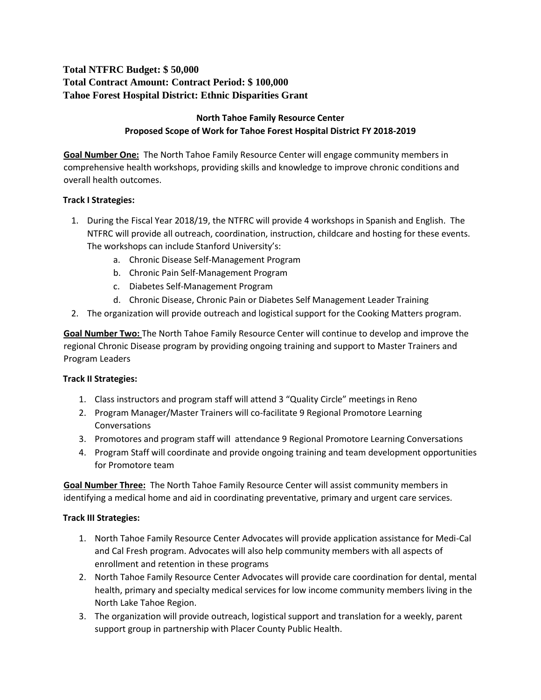## **Total NTFRC Budget: \$ 50,000 Total Contract Amount: Contract Period: \$ 100,000 Tahoe Forest Hospital District: Ethnic Disparities Grant**

## **North Tahoe Family Resource Center Proposed Scope of Work for Tahoe Forest Hospital District FY 2018-2019**

**Goal Number One:** The North Tahoe Family Resource Center will engage community members in comprehensive health workshops, providing skills and knowledge to improve chronic conditions and overall health outcomes.

## **Track I Strategies:**

- 1. During the Fiscal Year 2018/19, the NTFRC will provide 4 workshops in Spanish and English. The NTFRC will provide all outreach, coordination, instruction, childcare and hosting for these events. The workshops can include Stanford University's:
	- a. Chronic Disease Self-Management Program
	- b. Chronic Pain Self-Management Program
	- c. Diabetes Self-Management Program
	- d. Chronic Disease, Chronic Pain or Diabetes Self Management Leader Training
- 2. The organization will provide outreach and logistical support for the Cooking Matters program.

**Goal Number Two:** The North Tahoe Family Resource Center will continue to develop and improve the regional Chronic Disease program by providing ongoing training and support to Master Trainers and Program Leaders

## **Track II Strategies:**

- 1. Class instructors and program staff will attend 3 "Quality Circle" meetings in Reno
- 2. Program Manager/Master Trainers will co-facilitate 9 Regional Promotore Learning Conversations
- 3. Promotores and program staff will attendance 9 Regional Promotore Learning Conversations
- 4. Program Staff will coordinate and provide ongoing training and team development opportunities for Promotore team

**Goal Number Three:** The North Tahoe Family Resource Center will assist community members in identifying a medical home and aid in coordinating preventative, primary and urgent care services.

### **Track III Strategies:**

- 1. North Tahoe Family Resource Center Advocates will provide application assistance for Medi-Cal and Cal Fresh program. Advocates will also help community members with all aspects of enrollment and retention in these programs
- 2. North Tahoe Family Resource Center Advocates will provide care coordination for dental, mental health, primary and specialty medical services for low income community members living in the North Lake Tahoe Region.
- 3. The organization will provide outreach, logistical support and translation for a weekly, parent support group in partnership with Placer County Public Health.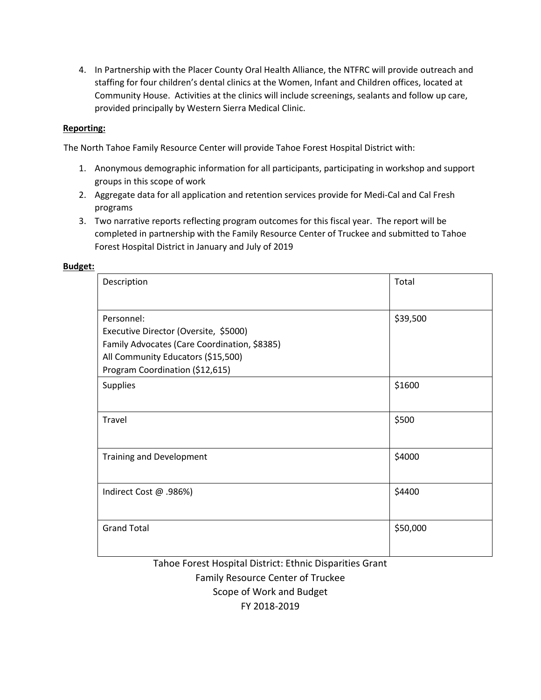4. In Partnership with the Placer County Oral Health Alliance, the NTFRC will provide outreach and staffing for four children's dental clinics at the Women, Infant and Children offices, located at Community House. Activities at the clinics will include screenings, sealants and follow up care, provided principally by Western Sierra Medical Clinic.

#### **Reporting:**

The North Tahoe Family Resource Center will provide Tahoe Forest Hospital District with:

- 1. Anonymous demographic information for all participants, participating in workshop and support groups in this scope of work
- 2. Aggregate data for all application and retention services provide for Medi-Cal and Cal Fresh programs
- 3. Two narrative reports reflecting program outcomes for this fiscal year. The report will be completed in partnership with the Family Resource Center of Truckee and submitted to Tahoe Forest Hospital District in January and July of 2019

#### **Budget:**

| Description                                                                                                                                                                  | Total    |
|------------------------------------------------------------------------------------------------------------------------------------------------------------------------------|----------|
| Personnel:<br>Executive Director (Oversite, \$5000)<br>Family Advocates (Care Coordination, \$8385)<br>All Community Educators (\$15,500)<br>Program Coordination (\$12,615) | \$39,500 |
| <b>Supplies</b>                                                                                                                                                              | \$1600   |
| Travel                                                                                                                                                                       | \$500    |
| <b>Training and Development</b>                                                                                                                                              | \$4000   |
| Indirect Cost @ .986%)                                                                                                                                                       | \$4400   |
| <b>Grand Total</b>                                                                                                                                                           | \$50,000 |

Tahoe Forest Hospital District: Ethnic Disparities Grant Family Resource Center of Truckee Scope of Work and Budget FY 2018-2019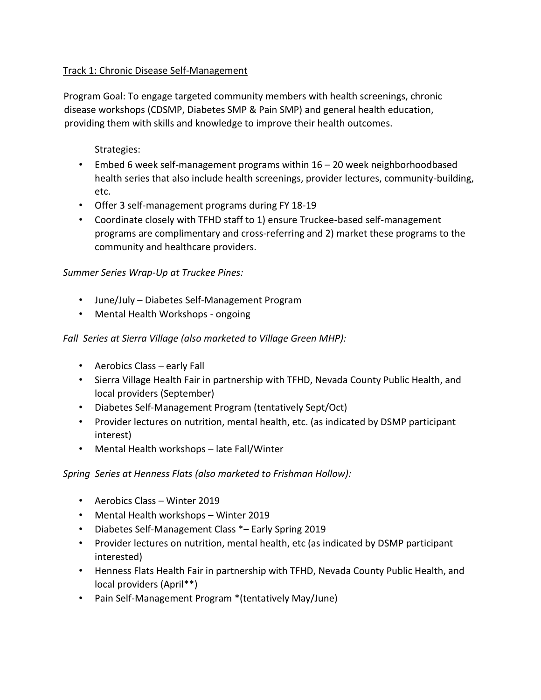## Track 1: Chronic Disease Self-Management

Program Goal: To engage targeted community members with health screenings, chronic disease workshops (CDSMP, Diabetes SMP & Pain SMP) and general health education, providing them with skills and knowledge to improve their health outcomes.

Strategies:

- Embed 6 week self-management programs within 16 20 week neighborhoodbased health series that also include health screenings, provider lectures, community-building, etc.
- Offer 3 self-management programs during FY 18-19
- Coordinate closely with TFHD staff to 1) ensure Truckee-based self-management programs are complimentary and cross-referring and 2) market these programs to the community and healthcare providers.

## *Summer Series Wrap-Up at Truckee Pines:*

- June/July Diabetes Self-Management Program
- Mental Health Workshops ongoing

## *Fall Series at Sierra Village (also marketed to Village Green MHP):*

- Aerobics Class early Fall
- Sierra Village Health Fair in partnership with TFHD, Nevada County Public Health, and local providers (September)
- Diabetes Self-Management Program (tentatively Sept/Oct)
- Provider lectures on nutrition, mental health, etc. (as indicated by DSMP participant interest)
- Mental Health workshops late Fall/Winter

## *Spring Series at Henness Flats (also marketed to Frishman Hollow):*

- Aerobics Class Winter 2019
- Mental Health workshops Winter 2019
- Diabetes Self-Management Class \*– Early Spring 2019
- Provider lectures on nutrition, mental health, etc (as indicated by DSMP participant interested)
- Henness Flats Health Fair in partnership with TFHD, Nevada County Public Health, and local providers (April\*\*)
- Pain Self-Management Program \*(tentatively May/June)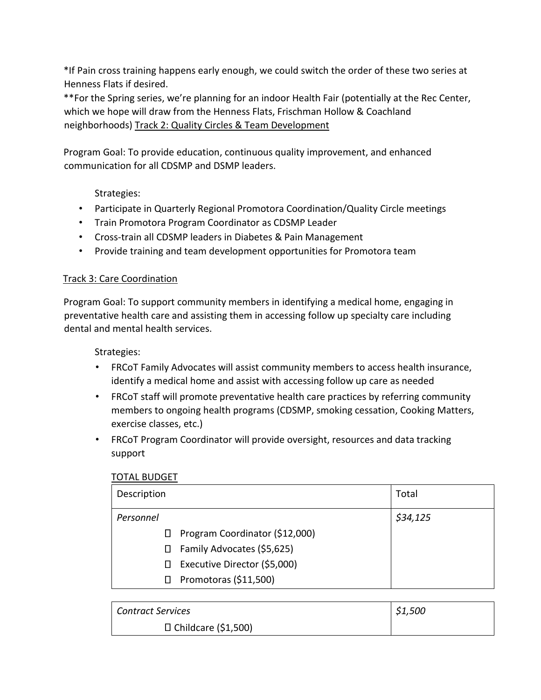\*If Pain cross training happens early enough, we could switch the order of these two series at Henness Flats if desired.

\*\*For the Spring series, we're planning for an indoor Health Fair (potentially at the Rec Center, which we hope will draw from the Henness Flats, Frischman Hollow & Coachland neighborhoods) Track 2: Quality Circles & Team Development

Program Goal: To provide education, continuous quality improvement, and enhanced communication for all CDSMP and DSMP leaders.

Strategies:

- Participate in Quarterly Regional Promotora Coordination/Quality Circle meetings
- Train Promotora Program Coordinator as CDSMP Leader
- Cross-train all CDSMP leaders in Diabetes & Pain Management
- Provide training and team development opportunities for Promotora team

## Track 3: Care Coordination

Program Goal: To support community members in identifying a medical home, engaging in preventative health care and assisting them in accessing follow up specialty care including dental and mental health services.

Strategies:

- FRCoT Family Advocates will assist community members to access health insurance, identify a medical home and assist with accessing follow up care as needed
- FRCoT staff will promote preventative health care practices by referring community members to ongoing health programs (CDSMP, smoking cessation, Cooking Matters, exercise classes, etc.)
- FRCoT Program Coordinator will provide oversight, resources and data tracking support

### TOTAL BUDGET

| Description  |                                | Total    |
|--------------|--------------------------------|----------|
| Personnel    |                                | \$34,125 |
| Ш            | Program Coordinator (\$12,000) |          |
| П            | Family Advocates (\$5,625)     |          |
| $\mathsf{L}$ | Executive Director (\$5,000)   |          |
|              | Promotoras (\$11,500)          |          |

| <b>Contract Services</b>   | \$1,500 |
|----------------------------|---------|
| $\Box$ Childcare (\$1,500) |         |